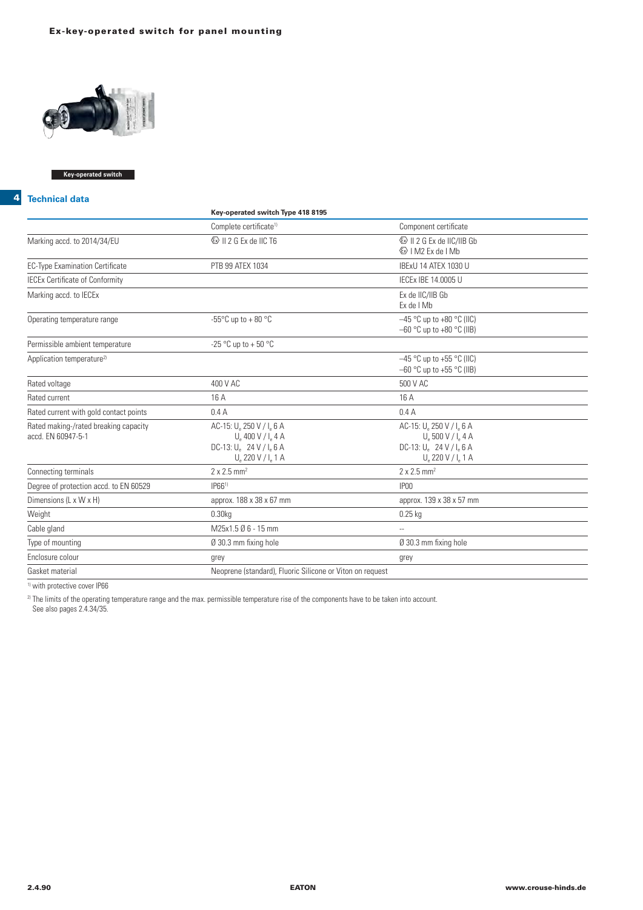

### **Key-operated switch**

#### **4 Technical data**

|                                                             | Key-operated switch Type 418 8195                                                                                            |                                                                                                                                             |
|-------------------------------------------------------------|------------------------------------------------------------------------------------------------------------------------------|---------------------------------------------------------------------------------------------------------------------------------------------|
|                                                             | Complete certificate <sup>1)</sup>                                                                                           | Component certificate                                                                                                                       |
| Marking accd. to 2014/34/EU                                 | <b>&amp; II 2 G Ex de IIC T6</b>                                                                                             | Ex de I Mb                                                                                                                                  |
| <b>EC-Type Examination Certificate</b>                      | PTB 99 ATEX 1034                                                                                                             | IBExU 14 ATEX 1030 U                                                                                                                        |
| <b>IECEx Certificate of Conformity</b>                      |                                                                                                                              | IECEx IBE 14.0005 U                                                                                                                         |
| Marking accd. to IECEx                                      |                                                                                                                              | Ex de IIC/IIB Gb<br>Ex de I Mb                                                                                                              |
| Operating temperature range                                 | -55 $\mathrm{^{\circ}C}$ up to + 80 $\mathrm{^{\circ}C}$                                                                     | $-45$ °C up to +80 °C (IIC)<br>$-60$ °C up to $+80$ °C (IIB)                                                                                |
| Permissible ambient temperature                             | -25 °C up to + 50 °C                                                                                                         |                                                                                                                                             |
| Application temperature <sup>2)</sup>                       |                                                                                                                              | $-45$ °C up to +55 °C (IIC)<br>$-60$ °C up to +55 °C (IIB)                                                                                  |
| Rated voltage                                               | 400 V AC                                                                                                                     | 500 V AC                                                                                                                                    |
| Rated current                                               | 16 A                                                                                                                         | 16 A                                                                                                                                        |
| Rated current with gold contact points                      | 0.4A                                                                                                                         | 0.4A                                                                                                                                        |
| Rated making-/rated breaking capacity<br>accd. EN 60947-5-1 | AC-15: U. 250 V / I. 6 A<br>$U_a 400 V / I_a 4 A$<br>DC-13: $U_a$ 24 V / $I_a$ 6 A<br>$U_{\rm e}$ 220 V / I <sub>e</sub> 1 A | AC-15: U. 250 V / I. 6 A<br>$U_{\circ}$ 500 V / I $_{\circ}$ 4 A<br>DC-13: $U_e$ 24 V / $I_e$ 6 A<br>$U_{\rm e}$ 220 V / I <sub>e</sub> 1 A |
| Connecting terminals                                        | $2 \times 2.5$ mm <sup>2</sup>                                                                                               | $2 \times 2.5$ mm <sup>2</sup>                                                                                                              |
| Degree of protection accd. to EN 60529                      | IP66 <sup>1</sup>                                                                                                            | IP <sub>00</sub>                                                                                                                            |
| Dimensions (L x W x H)                                      | approx. 188 x 38 x 67 mm                                                                                                     | approx. 139 x 38 x 57 mm                                                                                                                    |
| Weight                                                      | 0.30 <sub>kq</sub>                                                                                                           | $0.25$ kg                                                                                                                                   |
| Cable gland                                                 | M25x1.5 Ø 6 - 15 mm                                                                                                          | $\overline{a}$                                                                                                                              |
| Type of mounting                                            | Ø 30.3 mm fixing hole                                                                                                        | Ø 30.3 mm fixing hole                                                                                                                       |
| Enclosure colour                                            | grey                                                                                                                         | grey                                                                                                                                        |
| Gasket material                                             | Neoprene (standard), Fluoric Silicone or Viton on request                                                                    |                                                                                                                                             |
|                                                             |                                                                                                                              |                                                                                                                                             |

<sup>1)</sup> with protective cover IP66

 $^{2}$  The limits of the operating temperature range and the max. permissible temperature rise of the components have to be taken into account.

See also pages 2.4.34/35.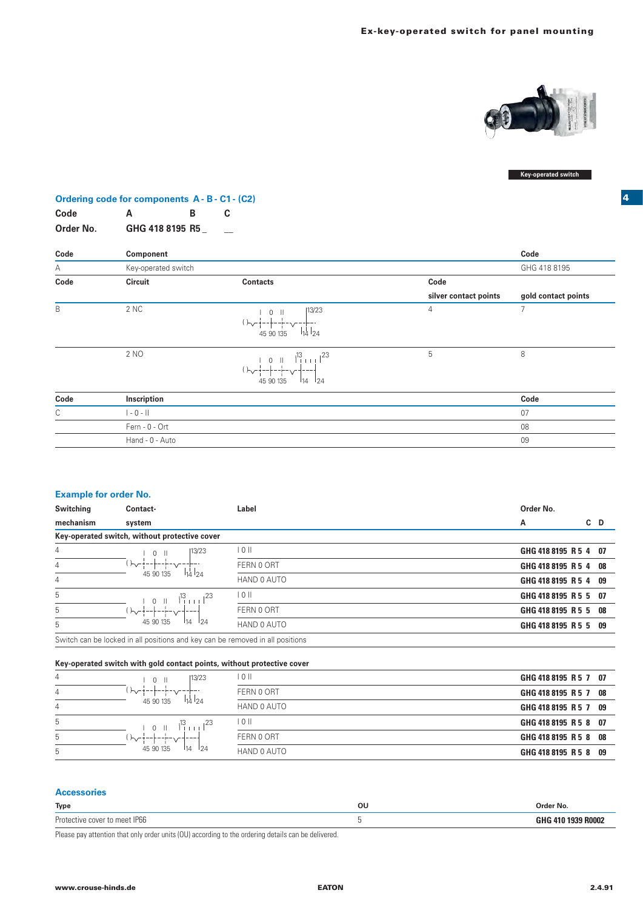

### **Key-operated switch**

**4**

# **Ordering code for components A - B - C1 - (C2)**

| Code      | Α               | B |  |
|-----------|-----------------|---|--|
| Order No. | GHG 418 8195 R5 |   |  |

| Code        | Component           |                                                                                                                                                               |                       | Code                |
|-------------|---------------------|---------------------------------------------------------------------------------------------------------------------------------------------------------------|-----------------------|---------------------|
| Α           | Key-operated switch |                                                                                                                                                               |                       | GHG 418 8195        |
| Code        | Circuit             | <b>Contacts</b>                                                                                                                                               | Code                  |                     |
|             |                     |                                                                                                                                                               | silver contact points | gold contact points |
| B           | 2 NC                | 13/23<br>$0$   <br>$(\begin{array}{cc} 1 & 0 & 0 \\ \sqrt{1} & -1 & -1 \\ 45 & 90 & 135 \end{array})$ $\begin{array}{c} 1 & 0 & 0 \\ 14 & 24 & 0 \end{array}$ | $\overline{4}$        | $\overline{7}$      |
|             | 2 NO                | $0 \parallel \frac{13}{1} \parallel \frac{123}{1}$<br>$()$ $\sim$ $+$ $ +$ $ +$ $ \sim$ $+$ $  +$<br>$I_{14}$ $I_{24}$<br>45 90 135                           | 5                     | 8                   |
| Code        | Inscription         |                                                                                                                                                               |                       | Code                |
| $\mathsf C$ | $  - 0 -   $        |                                                                                                                                                               |                       | 07                  |
|             | Fern - 0 - Ort      |                                                                                                                                                               |                       | 08                  |
|             | Hand - 0 - Auto     |                                                                                                                                                               |                       | 09                  |

#### **Example for order No.**

| Switching | Contact-                                                                      | Label       | Order No.             |     |
|-----------|-------------------------------------------------------------------------------|-------------|-----------------------|-----|
| mechanism | system                                                                        |             | A                     | C D |
|           | Key-operated switch, without protective cover                                 |             |                       |     |
| 4         | 13/23<br>$0$ II                                                               | 101         | GHG 418 8195 R 5 4 07 |     |
| 4         | '  トv-+--+<br>$114$ $124$<br>45 90 135                                        | FERN 0 ORT  | GHG 418 8195 R 5 4 08 |     |
| 4         |                                                                               | HAND 0 AUTO | GHG 418 8195 R 5 4 09 |     |
| 5         | $1^3$ <sub>111</sub> $1^2$ <sup>23</sup><br>$\Box$                            | 10 II       | GHG 418 8195 R 5 5 07 |     |
| 5         | 45 90 135<br>124<br>114                                                       | FERN 0 ORT  | GHG 418 8195 R 5 5 08 |     |
| 5         |                                                                               | HAND 0 AUTO | GHG 418 8195 R 5 5 09 |     |
|           | Switch can be locked in all positions and key can be removed in all positions |             |                       |     |

#### **Key-operated switch with gold contact points, without protective cover**

| 4 | 13/23<br>$\bigcap$                                   | 10 II             | GHG 418 8195 R 5 7 07 |
|---|------------------------------------------------------|-------------------|-----------------------|
| 4 | $\sim$                                               | FERN 0 ORT        | GHG 418 8195 R 5 7 08 |
| 4 | 114124<br>45 90 135                                  | HAND 0 AUTO       | GHG 418 8195 R 5 7 09 |
| 5 | $\frac{1}{2}$ $\frac{23}{2}$<br>ı13<br>-11<br>$\cap$ | $\overline{0}$ II | GHG 418 8195 R 5 8 07 |
| 5 |                                                      | FERN 0 ORT        | GHG 418 8195 R 5 8 08 |
| 5 | 45 90 135<br>114<br>124                              | HAND 0 AUTO       | GHG 418 8195 R 5 8 09 |

## **Accessories**

| <b>Type</b>   | οι<br>___ | ™der No. |
|---------------|-----------|----------|
| Protor<br>-nr |           | .        |

Please pay attention that only order units (OU) according to the ordering details can be delivered.